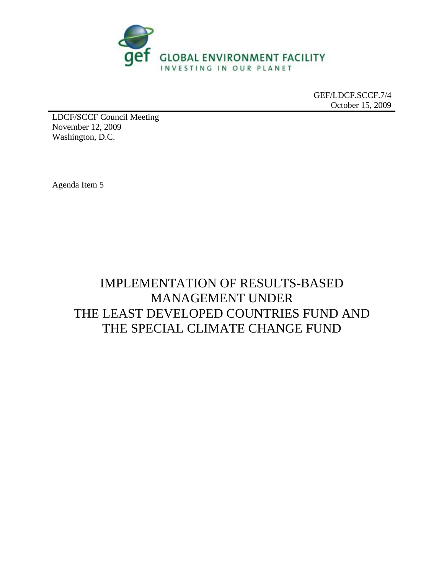

GEF/LDCF.SCCF.7/4 October 15, 2009

LDCF/SCCF Council Meeting November 12, 2009 Washington, D.C.

Agenda Item 5

# IMPLEMENTATION OF RESULTS-BASED MANAGEMENT UNDER THE LEAST DEVELOPED COUNTRIES FUND AND THE SPECIAL CLIMATE CHANGE FUND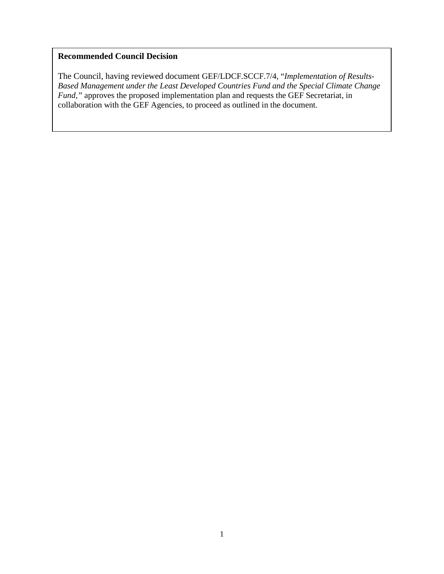#### **Recommended Council Decision**

The Council, having reviewed document GEF/LDCF.SCCF.7/4, "*Implementation of Results-Based Management under the Least Developed Countries Fund and the Special Climate Change Fund,"* approves the proposed implementation plan and requests the GEF Secretariat, in collaboration with the GEF Agencies, to proceed as outlined in the document*.*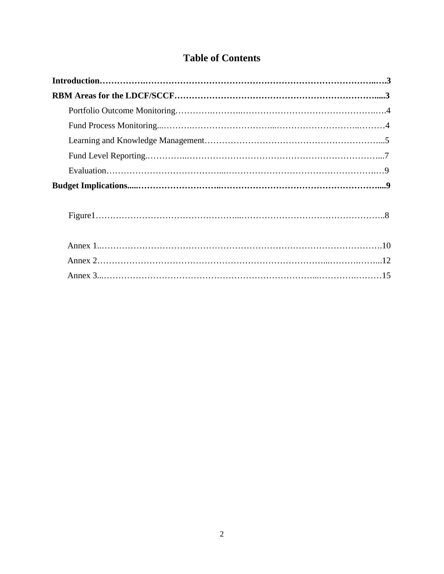## **Table of Contents**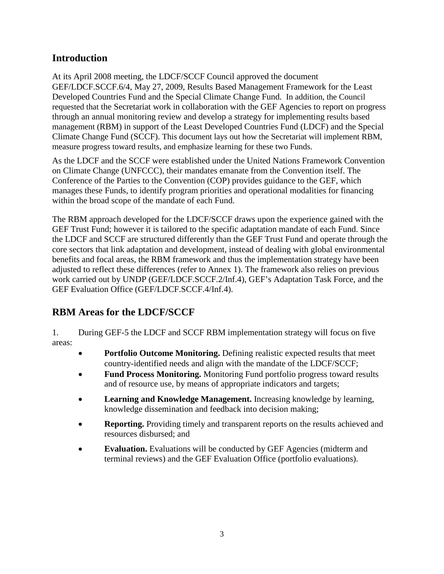## **Introduction**

At its April 2008 meeting, the LDCF/SCCF Council approved the document GEF/LDCF.SCCF.6/4, May 27, 2009, Results Based Management Framework for the Least Developed Countries Fund and the Special Climate Change Fund. In addition, the Council requested that the Secretariat work in collaboration with the GEF Agencies to report on progress through an annual monitoring review and develop a strategy for implementing results based management (RBM) in support of the Least Developed Countries Fund (LDCF) and the Special Climate Change Fund (SCCF). This document lays out how the Secretariat will implement RBM, measure progress toward results, and emphasize learning for these two Funds.

As the LDCF and the SCCF were established under the United Nations Framework Convention on Climate Change (UNFCCC), their mandates emanate from the Convention itself. The Conference of the Parties to the Convention (COP) provides guidance to the GEF, which manages these Funds, to identify program priorities and operational modalities for financing within the broad scope of the mandate of each Fund.

The RBM approach developed for the LDCF/SCCF draws upon the experience gained with the GEF Trust Fund; however it is tailored to the specific adaptation mandate of each Fund. Since the LDCF and SCCF are structured differently than the GEF Trust Fund and operate through the core sectors that link adaptation and development, instead of dealing with global environmental benefits and focal areas, the RBM framework and thus the implementation strategy have been adjusted to reflect these differences (refer to Annex 1). The framework also relies on previous work carried out by UNDP (GEF/LDCF.SCCF.2/Inf.4), GEF's Adaptation Task Force, and the GEF Evaluation Office (GEF/LDCF.SCCF.4/Inf.4).

## **RBM Areas for the LDCF/SCCF**

1. During GEF-5 the LDCF and SCCF RBM implementation strategy will focus on five areas:

- **Portfolio Outcome Monitoring.** Defining realistic expected results that meet country-identified needs and align with the mandate of the LDCF/SCCF;
- **Fund Process Monitoring.** Monitoring Fund portfolio progress toward results and of resource use, by means of appropriate indicators and targets;
- **Learning and Knowledge Management.** Increasing knowledge by learning, knowledge dissemination and feedback into decision making;
- **Reporting.** Providing timely and transparent reports on the results achieved and resources disbursed; and
- **Evaluation.** Evaluations will be conducted by GEF Agencies (midterm and terminal reviews) and the GEF Evaluation Office (portfolio evaluations).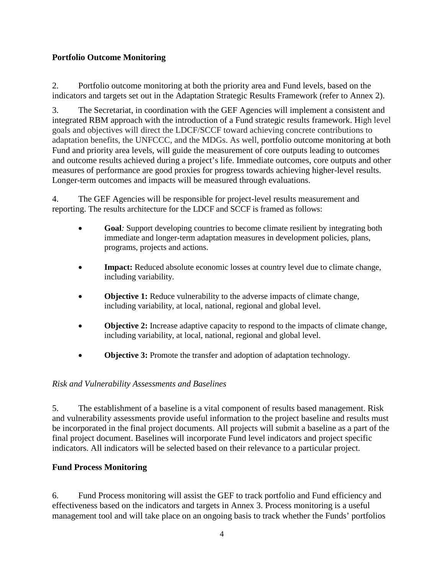### **Portfolio Outcome Monitoring**

2. Portfolio outcome monitoring at both the priority area and Fund levels, based on the indicators and targets set out in the Adaptation Strategic Results Framework (refer to Annex 2).

3. The Secretariat, in coordination with the GEF Agencies will implement a consistent and integrated RBM approach with the introduction of a Fund strategic results framework. High level goals and objectives will direct the LDCF/SCCF toward achieving concrete contributions to adaptation benefits, the UNFCCC, and the MDGs. As well, portfolio outcome monitoring at both Fund and priority area levels, will guide the measurement of core outputs leading to outcomes and outcome results achieved during a project's life. Immediate outcomes, core outputs and other measures of performance are good proxies for progress towards achieving higher-level results. Longer-term outcomes and impacts will be measured through evaluations.

4. The GEF Agencies will be responsible for project-level results measurement and reporting. The results architecture for the LDCF and SCCF is framed as follows:

- **Goal**: Support developing countries to become climate resilient by integrating both immediate and longer-term adaptation measures in development policies, plans, programs, projects and actions.
- **Impact:** Reduced absolute economic losses at country level due to climate change, including variability.
- **Objective 1:** Reduce vulnerability to the adverse impacts of climate change, including variability, at local, national, regional and global level.
- **Objective 2:** Increase adaptive capacity to respond to the impacts of climate change, including variability, at local, national, regional and global level.
- **Objective 3:** Promote the transfer and adoption of adaptation technology.

### *Risk and Vulnerability Assessments and Baselines*

5. The establishment of a baseline is a vital component of results based management. Risk and vulnerability assessments provide useful information to the project baseline and results must be incorporated in the final project documents. All projects will submit a baseline as a part of the final project document. Baselines will incorporate Fund level indicators and project specific indicators. All indicators will be selected based on their relevance to a particular project.

### **Fund Process Monitoring**

6. Fund Process monitoring will assist the GEF to track portfolio and Fund efficiency and effectiveness based on the indicators and targets in Annex 3. Process monitoring is a useful management tool and will take place on an ongoing basis to track whether the Funds' portfolios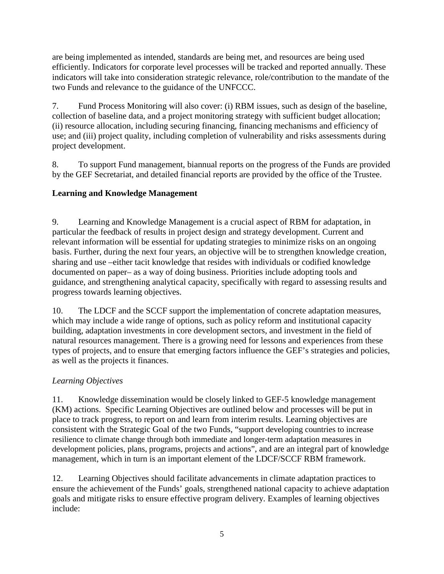are being implemented as intended, standards are being met, and resources are being used efficiently. Indicators for corporate level processes will be tracked and reported annually. These indicators will take into consideration strategic relevance, role/contribution to the mandate of the two Funds and relevance to the guidance of the UNFCCC.

7. Fund Process Monitoring will also cover: (i) RBM issues, such as design of the baseline, collection of baseline data, and a project monitoring strategy with sufficient budget allocation; (ii) resource allocation, including securing financing, financing mechanisms and efficiency of use; and (iii) project quality, including completion of vulnerability and risks assessments during project development.

8. To support Fund management, biannual reports on the progress of the Funds are provided by the GEF Secretariat, and detailed financial reports are provided by the office of the Trustee.

### **Learning and Knowledge Management**

9. Learning and Knowledge Management is a crucial aspect of RBM for adaptation, in particular the feedback of results in project design and strategy development. Current and relevant information will be essential for updating strategies to minimize risks on an ongoing basis. Further, during the next four years, an objective will be to strengthen knowledge creation, sharing and use –either tacit knowledge that resides with individuals or codified knowledge documented on paper– as a way of doing business. Priorities include adopting tools and guidance, and strengthening analytical capacity, specifically with regard to assessing results and progress towards learning objectives.

10. The LDCF and the SCCF support the implementation of concrete adaptation measures, which may include a wide range of options, such as policy reform and institutional capacity building, adaptation investments in core development sectors, and investment in the field of natural resources management. There is a growing need for lessons and experiences from these types of projects, and to ensure that emerging factors influence the GEF's strategies and policies, as well as the projects it finances.

### *Learning Objectives*

11. Knowledge dissemination would be closely linked to GEF-5 knowledge management (KM) actions. Specific Learning Objectives are outlined below and processes will be put in place to track progress, to report on and learn from interim results. Learning objectives are consistent with the Strategic Goal of the two Funds, "support developing countries to increase resilience to climate change through both immediate and longer-term adaptation measures in development policies, plans, programs, projects and actions", and are an integral part of knowledge management, which in turn is an important element of the LDCF/SCCF RBM framework.

12. Learning Objectives should facilitate advancements in climate adaptation practices to ensure the achievement of the Funds' goals, strengthened national capacity to achieve adaptation goals and mitigate risks to ensure effective program delivery. Examples of learning objectives include: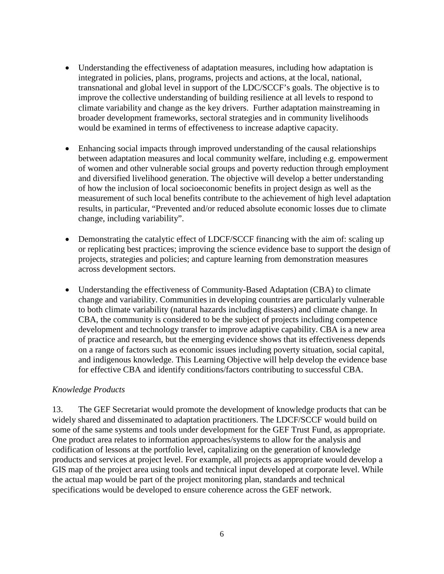- Understanding the effectiveness of adaptation measures, including how adaptation is integrated in policies, plans, programs, projects and actions, at the local, national, transnational and global level in support of the LDC/SCCF's goals. The objective is to improve the collective understanding of building resilience at all levels to respond to climate variability and change as the key drivers. Further adaptation mainstreaming in broader development frameworks, sectoral strategies and in community livelihoods would be examined in terms of effectiveness to increase adaptive capacity.
- Enhancing social impacts through improved understanding of the causal relationships between adaptation measures and local community welfare, including e.g. empowerment of women and other vulnerable social groups and poverty reduction through employment and diversified livelihood generation. The objective will develop a better understanding of how the inclusion of local socioeconomic benefits in project design as well as the measurement of such local benefits contribute to the achievement of high level adaptation results, in particular, "Prevented and/or reduced absolute economic losses due to climate change, including variability".
- Demonstrating the catalytic effect of LDCF/SCCF financing with the aim of: scaling up or replicating best practices; improving the science evidence base to support the design of projects, strategies and policies; and capture learning from demonstration measures across development sectors.
- Understanding the effectiveness of Community-Based Adaptation (CBA) to climate change and variability. Communities in developing countries are particularly vulnerable to both climate variability (natural hazards including disasters) and climate change. In CBA, the community is considered to be the subject of projects including competence development and technology transfer to improve adaptive capability. CBA is a new area of practice and research, but the emerging evidence shows that its effectiveness depends on a range of factors such as economic issues including poverty situation, social capital, and indigenous knowledge. This Learning Objective will help develop the evidence base for effective CBA and identify conditions/factors contributing to successful CBA.

#### *Knowledge Products*

13. The GEF Secretariat would promote the development of knowledge products that can be widely shared and disseminated to adaptation practitioners. The LDCF/SCCF would build on some of the same systems and tools under development for the GEF Trust Fund, as appropriate. One product area relates to information approaches/systems to allow for the analysis and codification of lessons at the portfolio level, capitalizing on the generation of knowledge products and services at project level. For example, all projects as appropriate would develop a GIS map of the project area using tools and technical input developed at corporate level. While the actual map would be part of the project monitoring plan, standards and technical specifications would be developed to ensure coherence across the GEF network.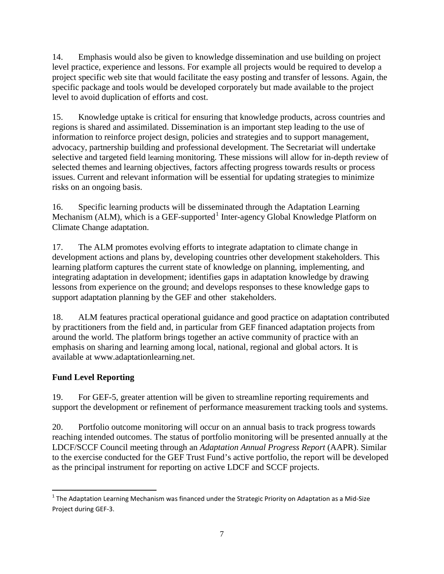14. Emphasis would also be given to knowledge dissemination and use building on project level practice, experience and lessons. For example all projects would be required to develop a project specific web site that would facilitate the easy posting and transfer of lessons. Again, the specific package and tools would be developed corporately but made available to the project level to avoid duplication of efforts and cost.

15. Knowledge uptake is critical for ensuring that knowledge products, across countries and regions is shared and assimilated. Dissemination is an important step leading to the use of information to reinforce project design, policies and strategies and to support management, advocacy, partnership building and professional development. The Secretariat will undertake selective and targeted field learning monitoring. These missions will allow for in-depth review of selected themes and learning objectives, factors affecting progress towards results or process issues. Current and relevant information will be essential for updating strategies to minimize risks on an ongoing basis.

16. Specific learning products will be disseminated through the Adaptation Learning Mechanism (ALM), which is a GEF-supported<sup>[1](#page-7-0)</sup> Inter-agency Global Knowledge Platform on Climate Change adaptation.

17. The ALM promotes evolving efforts to integrate adaptation to climate change in development actions and plans by, developing countries other development stakeholders. This learning platform captures the current state of knowledge on planning, implementing, and integrating adaptation in development; identifies gaps in adaptation knowledge by drawing lessons from experience on the ground; and develops responses to these knowledge gaps to support adaptation planning by the GEF and other stakeholders.

18. ALM features practical operational guidance and good practice on adaptation contributed by practitioners from the field and, in particular from GEF financed adaptation projects from around the world. The platform brings together an active community of practice with an emphasis on sharing and learning among local, national, regional and global actors. It is available at www.adaptationlearning.net.

## **Fund Level Reporting**

19. For GEF-5, greater attention will be given to streamline reporting requirements and support the development or refinement of performance measurement tracking tools and systems.

20. Portfolio outcome monitoring will occur on an annual basis to track progress towards reaching intended outcomes. The status of portfolio monitoring will be presented annually at the LDCF/SCCF Council meeting through an *Adaptation Annual Progress Report* (AAPR). Similar to the exercise conducted for the GEF Trust Fund's active portfolio, the report will be developed as the principal instrument for reporting on active LDCF and SCCF projects.

<span id="page-7-0"></span> $1$  The Adaptation Learning Mechanism was financed under the Strategic Priority on Adaptation as a Mid-Size Project during GEF-3.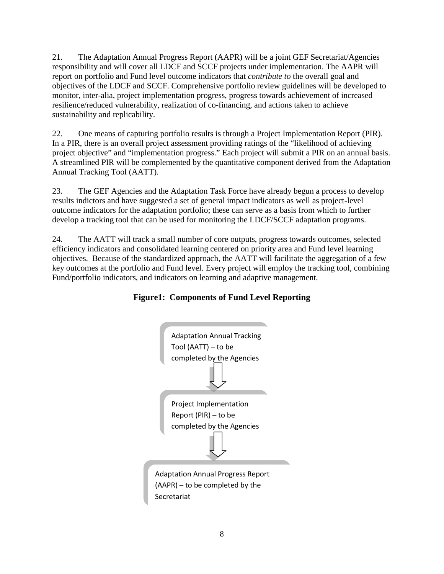21. The Adaptation Annual Progress Report (AAPR) will be a joint GEF Secretariat/Agencies responsibility and will cover all LDCF and SCCF projects under implementation. The AAPR will report on portfolio and Fund level outcome indicators that *contribute to* the overall goal and objectives of the LDCF and SCCF. Comprehensive portfolio review guidelines will be developed to monitor, inter-alia, project implementation progress, progress towards achievement of increased resilience/reduced vulnerability, realization of co-financing, and actions taken to achieve sustainability and replicability.

22. One means of capturing portfolio results is through a Project Implementation Report (PIR). In a PIR, there is an overall project assessment providing ratings of the "likelihood of achieving project objective" and "implementation progress." Each project will submit a PIR on an annual basis. A streamlined PIR will be complemented by the quantitative component derived from the Adaptation Annual Tracking Tool (AATT).

23. The GEF Agencies and the Adaptation Task Force have already begun a process to develop results indictors and have suggested a set of general impact indicators as well as project-level outcome indicators for the adaptation portfolio; these can serve as a basis from which to further develop a tracking tool that can be used for monitoring the LDCF/SCCF adaptation programs.

24. The AATT will track a small number of core outputs, progress towards outcomes, selected efficiency indicators and consolidated learning centered on priority area and Fund level learning objectives. Because of the standardized approach, the AATT will facilitate the aggregation of a few key outcomes at the portfolio and Fund level. Every project will employ the tracking tool, combining Fund/portfolio indicators, and indicators on learning and adaptive management.

### **Figure1: Components of Fund Level Reporting**

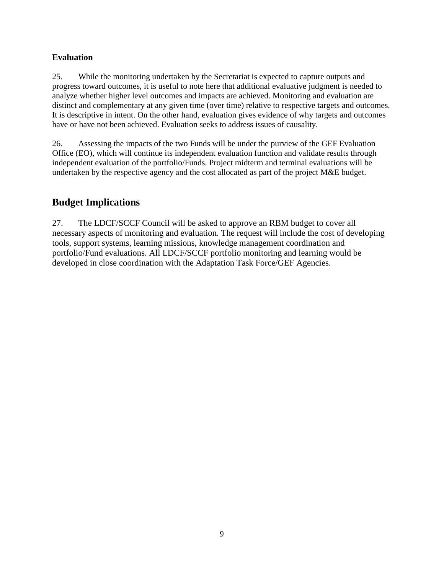### **Evaluation**

25. While the monitoring undertaken by the Secretariat is expected to capture outputs and progress toward outcomes, it is useful to note here that additional evaluative judgment is needed to analyze whether higher level outcomes and impacts are achieved. Monitoring and evaluation are distinct and complementary at any given time (over time) relative to respective targets and outcomes. It is descriptive in intent. On the other hand, evaluation gives evidence of why targets and outcomes have or have not been achieved. Evaluation seeks to address issues of causality.

26. Assessing the impacts of the two Funds will be under the purview of the GEF Evaluation Office (EO), which will continue its independent evaluation function and validate results through independent evaluation of the portfolio/Funds. Project midterm and terminal evaluations will be undertaken by the respective agency and the cost allocated as part of the project M&E budget.

## **Budget Implications**

27. The LDCF/SCCF Council will be asked to approve an RBM budget to cover all necessary aspects of monitoring and evaluation. The request will include the cost of developing tools, support systems, learning missions, knowledge management coordination and portfolio/Fund evaluations. All LDCF/SCCF portfolio monitoring and learning would be developed in close coordination with the Adaptation Task Force/GEF Agencies.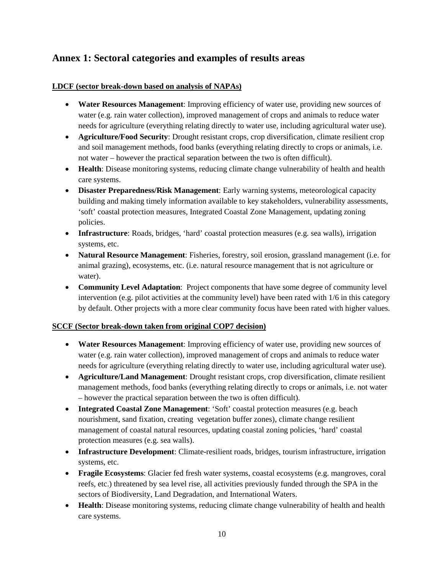## **Annex 1: Sectoral categories and examples of results areas**

#### **LDCF (sector break-down based on analysis of NAPAs)**

- **Water Resources Management**: Improving efficiency of water use, providing new sources of water (e.g. rain water collection), improved management of crops and animals to reduce water needs for agriculture (everything relating directly to water use, including agricultural water use).
- **Agriculture/Food Security**: Drought resistant crops, crop diversification, climate resilient crop and soil management methods, food banks (everything relating directly to crops or animals, i.e. not water – however the practical separation between the two is often difficult).
- **Health**: Disease monitoring systems, reducing climate change vulnerability of health and health care systems.
- **Disaster Preparedness/Risk Management**: Early warning systems, meteorological capacity building and making timely information available to key stakeholders, vulnerability assessments, 'soft' coastal protection measures, Integrated Coastal Zone Management, updating zoning policies.
- **Infrastructure**: Roads, bridges, 'hard' coastal protection measures (e.g. sea walls), irrigation systems, etc.
- **Natural Resource Management**: Fisheries, forestry, soil erosion, grassland management (i.e. for animal grazing), ecosystems, etc. (i.e. natural resource management that is not agriculture or water).
- **Community Level Adaptation**: Project components that have some degree of community level intervention (e.g. pilot activities at the community level) have been rated with 1/6 in this category by default. Other projects with a more clear community focus have been rated with higher values.

#### **SCCF (Sector break-down taken from original COP7 decision)**

- **Water Resources Management**: Improving efficiency of water use, providing new sources of water (e.g. rain water collection), improved management of crops and animals to reduce water needs for agriculture (everything relating directly to water use, including agricultural water use).
- **Agriculture/Land Management**: Drought resistant crops, crop diversification, climate resilient management methods, food banks (everything relating directly to crops or animals, i.e. not water – however the practical separation between the two is often difficult).
- **Integrated Coastal Zone Management**: 'Soft' coastal protection measures (e.g. beach nourishment, sand fixation, creating vegetation buffer zones), climate change resilient management of coastal natural resources, updating coastal zoning policies, 'hard' coastal protection measures (e.g. sea walls).
- **Infrastructure Development**: Climate-resilient roads, bridges, tourism infrastructure, irrigation systems, etc.
- **Fragile Ecosystems**: Glacier fed fresh water systems, coastal ecosystems (e.g. mangroves, coral reefs, etc.) threatened by sea level rise, all activities previously funded through the SPA in the sectors of Biodiversity, Land Degradation, and International Waters.
- **Health**: Disease monitoring systems, reducing climate change vulnerability of health and health care systems.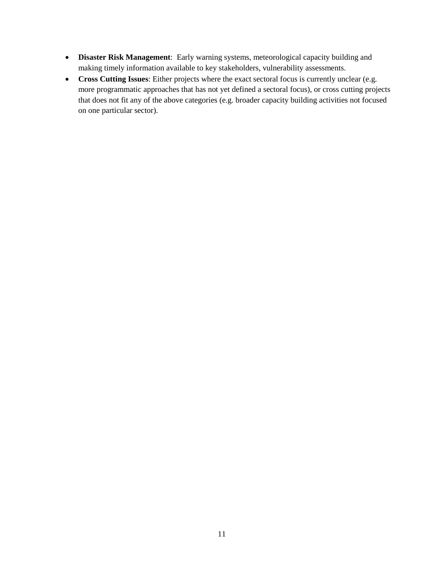- **Disaster Risk Management**: Early warning systems, meteorological capacity building and making timely information available to key stakeholders, vulnerability assessments.
- **Cross Cutting Issues**: Either projects where the exact sectoral focus is currently unclear (e.g. more programmatic approaches that has not yet defined a sectoral focus), or cross cutting projects that does not fit any of the above categories (e.g. broader capacity building activities not focused on one particular sector).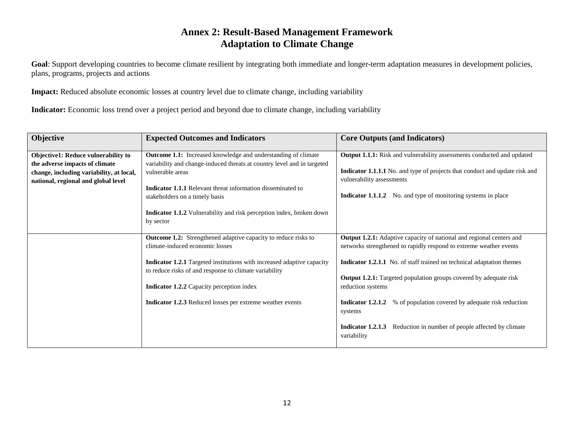## **Annex 2: Result-Based Management Framework Adaptation to Climate Change**

Goal: Support developing countries to become climate resilient by integrating both immediate and longer-term adaptation measures in development policies, plans, programs, projects and actions

**Impact:** Reduced absolute economic losses at country level due to climate change, including variability

**Indicator:** Economic loss trend over a project period and beyond due to climate change, including variability

| <b>Objective</b>                         | <b>Expected Outcomes and Indicators</b>                                 | <b>Core Outputs (and Indicators)</b>                                               |
|------------------------------------------|-------------------------------------------------------------------------|------------------------------------------------------------------------------------|
|                                          |                                                                         |                                                                                    |
| Objective1: Reduce vulnerability to      | <b>Outcome 1.1:</b> Increased knowledge and understanding of climate    | Output 1.1.1: Risk and vulnerability assessments conducted and updated             |
| the adverse impacts of climate           | variability and change-induced threats at country level and in targeted |                                                                                    |
| change, including variability, at local, | vulnerable areas                                                        | <b>Indicator 1.1.1.1</b> No. and type of projects that conduct and update risk and |
| national, regional and global level      |                                                                         | vulnerability assessments                                                          |
|                                          | <b>Indicator 1.1.1</b> Relevant threat information disseminated to      |                                                                                    |
|                                          | stakeholders on a timely basis                                          | <b>Indicator 1.1.1.2</b> No. and type of monitoring systems in place               |
|                                          |                                                                         |                                                                                    |
|                                          | Indicator 1.1.2 Vulnerability and risk perception index, broken down    |                                                                                    |
|                                          | by sector                                                               |                                                                                    |
|                                          |                                                                         |                                                                                    |
|                                          | <b>Outcome 1.2:</b> Strengthened adaptive capacity to reduce risks to   | Output 1.2.1: Adaptive capacity of national and regional centers and               |
|                                          | climate-induced economic losses                                         | networks strengthened to rapidly respond to extreme weather events                 |
|                                          | Indicator 1.2.1 Targeted institutions with increased adaptive capacity  | <b>Indicator 1.2.1.1</b> No. of staff trained on technical adaptation themes       |
|                                          | to reduce risks of and response to climate variability                  |                                                                                    |
|                                          |                                                                         | <b>Output 1.2.1:</b> Targeted population groups covered by adequate risk           |
|                                          | <b>Indicator 1.2.2</b> Capacity perception index                        | reduction systems                                                                  |
|                                          |                                                                         |                                                                                    |
|                                          | Indicator 1.2.3 Reduced losses per extreme weather events               | % of population covered by adequate risk reduction<br>Indicator 1.2.1.2            |
|                                          |                                                                         | systems                                                                            |
|                                          |                                                                         |                                                                                    |
|                                          |                                                                         | Reduction in number of people affected by climate<br>Indicator 1.2.1.3             |
|                                          |                                                                         | variability                                                                        |
|                                          |                                                                         |                                                                                    |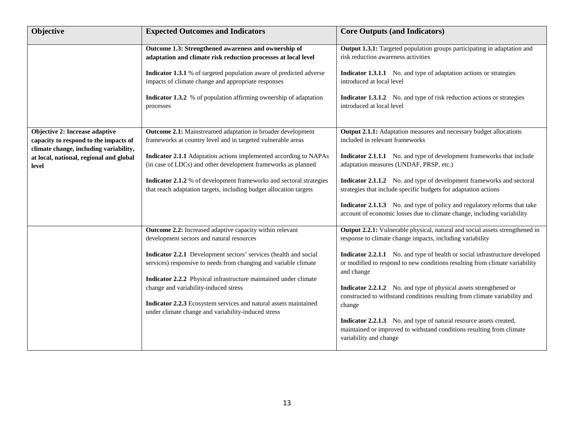| Objective                                                                                                                                                             | <b>Expected Outcomes and Indicators</b>                                                                                                                                                                                                                                                                                                                                                                                                                                               | <b>Core Outputs (and Indicators)</b>                                                                                                                                                                                                                                                                                                                                                                                                                                                                                                                                                                                                                               |
|-----------------------------------------------------------------------------------------------------------------------------------------------------------------------|---------------------------------------------------------------------------------------------------------------------------------------------------------------------------------------------------------------------------------------------------------------------------------------------------------------------------------------------------------------------------------------------------------------------------------------------------------------------------------------|--------------------------------------------------------------------------------------------------------------------------------------------------------------------------------------------------------------------------------------------------------------------------------------------------------------------------------------------------------------------------------------------------------------------------------------------------------------------------------------------------------------------------------------------------------------------------------------------------------------------------------------------------------------------|
|                                                                                                                                                                       | Outcome 1.3: Strengthened awareness and ownership of<br>adaptation and climate risk reduction processes at local level<br>Indicator 1.3.1 % of targeted population aware of predicted adverse<br>impacts of climate change and appropriate responses                                                                                                                                                                                                                                  | Output 1.3.1: Targeted population groups participating in adaptation and<br>risk reduction awareness activities<br><b>Indicator 1.3.1.1</b> No. and type of adaptation actions or strategies<br>introduced at local level                                                                                                                                                                                                                                                                                                                                                                                                                                          |
|                                                                                                                                                                       | Indicator 1.3.2 % of population affirming ownership of adaptation<br>processes                                                                                                                                                                                                                                                                                                                                                                                                        | <b>Indicator 1.3.1.2</b> No. and type of risk reduction actions or strategies<br>introduced at local level                                                                                                                                                                                                                                                                                                                                                                                                                                                                                                                                                         |
| Objective 2: Increase adaptive<br>capacity to respond to the impacts of<br>climate change, including variability,<br>at local, national, regional and global<br>level | Outcome 2.1: Mainstreamed adaptation in broader development<br>frameworks at country level and in targeted vulnerable areas<br>Indicator 2.1.1 Adaptation actions implemented according to NAPAs<br>(in case of LDCs) and other development frameworks as planned<br>Indicator 2.1.2 % of development frameworks and sectoral strategies<br>that reach adaptation targets, including budget allocation targets                                                                        | Output 2.1.1: Adaptation measures and necessary budget allocations<br>included in relevant frameworks<br><b>Indicator 2.1.1.1</b> No. and type of development frameworks that include<br>adaptation measures (UNDAF, PRSP, etc.)<br>Indicator 2.1.1.2 No. and type of development frameworks and sectoral<br>strategies that include specific budgets for adaptation actions<br><b>Indicator 2.1.1.3</b> No. and type of policy and regulatory reforms that take<br>account of economic losses due to climate change, including variability                                                                                                                        |
|                                                                                                                                                                       | Outcome 2.2: Increased adaptive capacity within relevant<br>development sectors and natural resources<br>Indicator 2.2.1 Development sectors' services (health and social<br>services) responsive to needs from changing and variable climate<br>Indicator 2.2.2 Physical infrastructure maintained under climate<br>change and variability-induced stress<br>Indicator 2.2.3 Ecosystem services and natural assets maintained<br>under climate change and variability-induced stress | Output 2.2.1: Vulnerable physical, natural and social assets strengthened in<br>response to climate change impacts, including variability<br>Indicator 2.2.1.1 No. and type of health or social infrastructure developed<br>or modified to respond to new conditions resulting from climate variability<br>and change<br><b>Indicator 2.2.1.2</b> No. and type of physical assets strengthened or<br>constructed to withstand conditions resulting from climate variability and<br>change<br>Indicator 2.2.1.3 No. and type of natural resource assets created,<br>maintained or improved to withstand conditions resulting from climate<br>variability and change |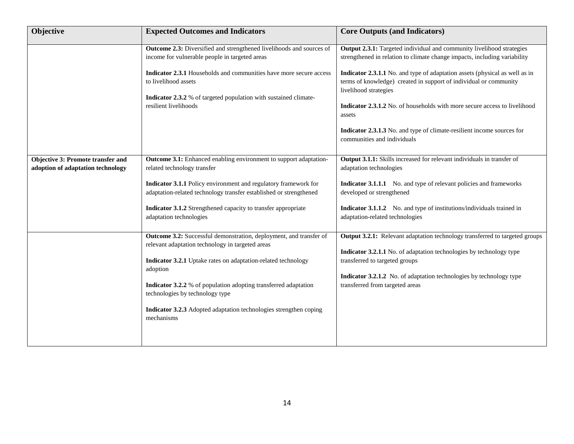| Objective                                                                     | <b>Expected Outcomes and Indicators</b>                                                                                                                                                                                                                                                                                                                                                             | <b>Core Outputs (and Indicators)</b>                                                                                                                                                                                                                                                                                                                                                                                                                                                                                                   |
|-------------------------------------------------------------------------------|-----------------------------------------------------------------------------------------------------------------------------------------------------------------------------------------------------------------------------------------------------------------------------------------------------------------------------------------------------------------------------------------------------|----------------------------------------------------------------------------------------------------------------------------------------------------------------------------------------------------------------------------------------------------------------------------------------------------------------------------------------------------------------------------------------------------------------------------------------------------------------------------------------------------------------------------------------|
|                                                                               | Outcome 2.3: Diversified and strengthened livelihoods and sources of<br>income for vulnerable people in targeted areas<br>Indicator 2.3.1 Households and communities have more secure access<br>to livelihood assets<br>Indicator 2.3.2 % of targeted population with sustained climate-<br>resilient livelihoods                                                                                   | Output 2.3.1: Targeted individual and community livelihood strategies<br>strengthened in relation to climate change impacts, including variability<br>Indicator 2.3.1.1 No. and type of adaptation assets (physical as well as in<br>terms of knowledge) created in support of individual or community<br>livelihood strategies<br><b>Indicator 2.3.1.2</b> No. of households with more secure access to livelihood<br>assets<br>Indicator 2.3.1.3 No. and type of climate-resilient income sources for<br>communities and individuals |
| <b>Objective 3: Promote transfer and</b><br>adoption of adaptation technology | Outcome 3.1: Enhanced enabling environment to support adaptation-<br>related technology transfer<br>Indicator 3.1.1 Policy environment and regulatory framework for<br>adaptation-related technology transfer established or strengthened<br>Indicator 3.1.2 Strengthened capacity to transfer appropriate<br>adaptation technologies                                                               | Output 3.1.1: Skills increased for relevant individuals in transfer of<br>adaptation technologies<br><b>Indicator 3.1.1.1</b> No. and type of relevant policies and frameworks<br>developed or strengthened<br>Indicator 3.1.1.2 No. and type of institutions/individuals trained in<br>adaptation-related technologies                                                                                                                                                                                                                |
|                                                                               | Outcome 3.2: Successful demonstration, deployment, and transfer of<br>relevant adaptation technology in targeted areas<br>Indicator 3.2.1 Uptake rates on adaptation-related technology<br>adoption<br><b>Indicator 3.2.2</b> % of population adopting transferred adaptation<br>technologies by technology type<br>Indicator 3.2.3 Adopted adaptation technologies strengthen coping<br>mechanisms | Output 3.2.1: Relevant adaptation technology transferred to targeted groups<br>Indicator 3.2.1.1 No. of adaptation technologies by technology type<br>transferred to targeted groups<br>Indicator 3.2.1.2 No. of adaptation technologies by technology type<br>transferred from targeted areas                                                                                                                                                                                                                                         |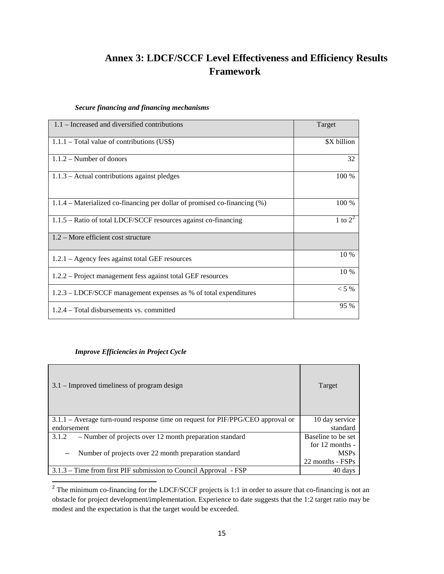## **Annex 3: LDCF/SCCF Level Effectiveness and Efficiency Results Framework**

#### *Secure financing and financing mechanisms*

| 1.1 – Increased and diversified contributions                             | Target      |
|---------------------------------------------------------------------------|-------------|
| $1.1.1$ – Total value of contributions (US\$)                             | \$X billion |
| $1.1.2 -$ Number of donors                                                | 32          |
| $1.1.3$ – Actual contributions against pledges                            | 100 %       |
| 1.1.4 – Materialized co-financing per dollar of promised co-financing (%) | 100 %       |
| $1.1.5$ – Ratio of total LDCF/SCCF resources against co-financing         | 1 to $2^2$  |
| $1.2$ – More efficient cost structure                                     |             |
| $1.2.1 - \text{Agency}$ fees against total GEF resources                  | 10 %        |
| 1.2.2 – Project management fess against total GEF resources               | 10 %        |
| 1.2.3 – LDCF/SCCF management expenses as % of total expenditures          | $< 5\%$     |
| 1.2.4 – Total disbursements vs. committed                                 | 95 %        |

#### *Improve Efficiencies in Project Cycle*

ı

| $3.1$ – Improved timeliness of program design                                   | Target             |
|---------------------------------------------------------------------------------|--------------------|
| 3.1.1 – Average turn-round response time on request for PIF/PPG/CEO approval or | 10 day service     |
| endorsement                                                                     | standard           |
| - Number of projects over 12 month preparation standard<br>3.1.2                | Baseline to be set |
|                                                                                 | for $12$ months -  |
| Number of projects over 22 month preparation standard<br>$\qquad \qquad$        | <b>MSPs</b>        |
|                                                                                 | 22 months - FSPs   |
| 3.1.3 – Time from first PIF submission to Council Approval - FSP                | 40 days            |

<span id="page-15-0"></span> $2^{2}$  The minimum co-financing for the LDCF/SCCF projects is 1:1 in order to assure that co-financing is not an obstacle for project development/implementation. Experience to date suggests that the 1:2 target ratio may be modest and the expectation is that the target would be exceeded.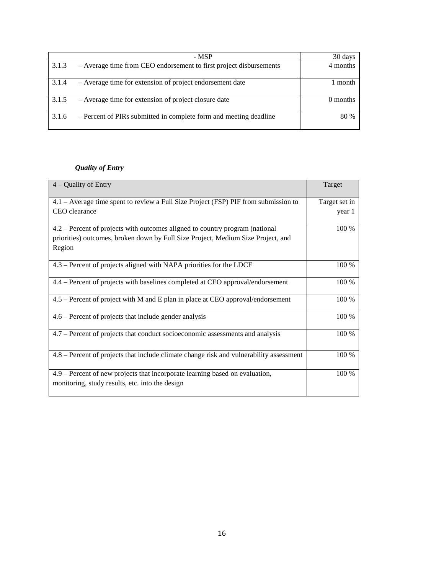| - MSP                                                                       | 30 days  |
|-----------------------------------------------------------------------------|----------|
| 3.1.3<br>- Average time from CEO endorsement to first project disbursements | 4 months |
| 3.1.4<br>- Average time for extension of project endorsement date           | ' month  |
| 3.1.5<br>- Average time for extension of project closure date               | 0 months |
| - Percent of PIRs submitted in complete form and meeting deadline<br>3.1.6  | 80 %     |

#### *Quality of Entry*

| $4 -$ Quality of Entry                                                                                                          | Target        |
|---------------------------------------------------------------------------------------------------------------------------------|---------------|
| 4.1 - Average time spent to review a Full Size Project (FSP) PIF from submission to                                             | Target set in |
| CEO clearance                                                                                                                   | year 1        |
| 4.2 – Percent of projects with outcomes aligned to country program (national                                                    | 100 %         |
| priorities) outcomes, broken down by Full Size Project, Medium Size Project, and                                                |               |
| Region                                                                                                                          |               |
| 4.3 – Percent of projects aligned with NAPA priorities for the LDCF                                                             | 100 %         |
| 4.4 – Percent of projects with baselines completed at CEO approval/endorsement                                                  | 100 %         |
| 4.5 – Percent of project with M and E plan in place at CEO approval/endorsement                                                 | 100 %         |
| 4.6 – Percent of projects that include gender analysis                                                                          | 100 %         |
| 4.7 – Percent of projects that conduct socioeconomic assessments and analysis                                                   | 100 %         |
| 4.8 – Percent of projects that include climate change risk and vulnerability assessment                                         | 100 %         |
| 4.9 – Percent of new projects that incorporate learning based on evaluation,<br>monitoring, study results, etc. into the design | 100 %         |